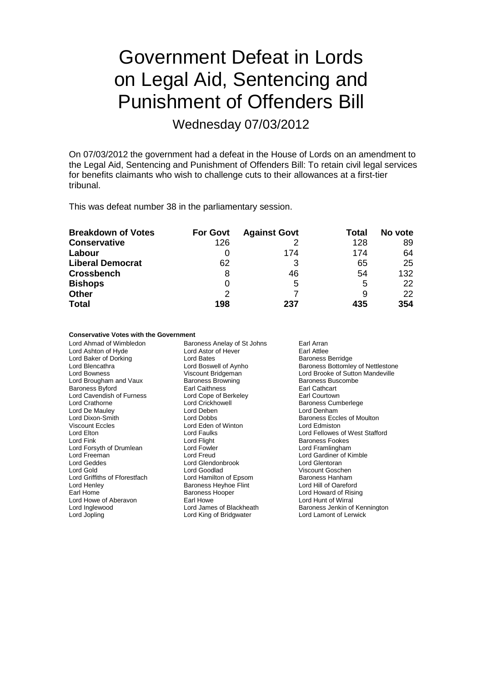# Government Defeat in Lords on Legal Aid, Sentencing and Punishment of Offenders Bill

Wednesday 07/03/2012

On 07/03/2012 the government had a defeat in the House of Lords on an amendment to the Legal Aid, Sentencing and Punishment of Offenders Bill: To retain civil legal services for benefits claimants who wish to challenge cuts to their allowances at a first-tier tribunal.

This was defeat number 38 in the parliamentary session.

| <b>Breakdown of Votes</b> | <b>For Govt</b> | <b>Against Govt</b> | Total | No vote |
|---------------------------|-----------------|---------------------|-------|---------|
| <b>Conservative</b>       | 126             |                     | 128   | 89      |
| Labour                    |                 | 174                 | 174   | 64      |
| <b>Liberal Democrat</b>   | 62              | 3                   | 65    | 25      |
| <b>Crossbench</b>         | 8               | 46                  | 54    | 132     |
| <b>Bishops</b>            | 0               | 5                   | 5     | 22      |
| <b>Other</b>              | 2               |                     | 9     | 22      |
| <b>Total</b>              | 198             | 237                 | 435   | 354     |

### **Conservative Votes with the Government**

Lord Ahmad of Wimbledon Baroness Anelay of St Johns Earl Arran<br>
Lord Astor of Hever Earl Attlee Lord Ashton of Hyde **Lord Astor of Hever** Earl Attlee<br>
Lord Baker of Dorking **Lord Bates** Lord Bates **Example 2** Baroness Berridge Lord Baker of Dorking<br>
Lord Blencathra<br>
Lord Boswell of Aynho Lord Blencathra **Lord Boswell of Aynho**<br>
Lord Boswell of Aynho Bridgeman<br>
Lord Brooke of Sutton Mandeville Viscount Bridgeman Lord Brooke of Sutton Mandeville<br>
Baroness Browning<br>
Baroness Buscombe Lord Brougham and Vaux Baroness Browning Baroness Buscomess Buscomess Buscombes Buscombes Buscombes Buscombes Buscombes Buscombes Buscombes Buscombes Buscombes Buscombes Buscombes Buscombes Buscombes Buscombes Buscombes Bu Baroness Byford **Earl Caithness**<br>
Lord Cavendish of Furness Lord Cope of Berkeley<br>
Lord Cavendish of Furness Lord Cope of Berkeley<br>
Lord Cavendish of Furness Lord Cavendish of Furness Lord Cope of Ber<br>
Lord Crathorne Lord Crickhowell Lord Crickhowell **Crathorne Lord Crickhowell**<br>
Lord Deben<br>
Lord Denham Lord De Mauley **Lord Deben**<br>
Lord Dixon-Smith **Lord Dobbs** Lord Dixon-Smith Lord Dobbs Lord Dobbs Baroness Eccles of Moulton<br>
Viscount Eccles Corp Lord Eden of Winton Lord Edmiston Viscount Eccles Lord Eden of Winton Lord Edmiston Lord Elton Lord Faulks Lord Fellowes of West Stafford Lord Flight **Baroness Fookes**<br>
Lord Fowler **Baroness Example 1**<br>
Lord Framlingham Lord Forsyth of Drumlean Lord Fowler Lord Freeman<br>
Lord Freeman Cord Cord Freud Lord Geddes Lord Glendonbrook Lord Glentoran Lord Gold Lord Goodlad Viscount Goschen Lord Griffiths of Fforestfach<br>Lord Henlev Lord Henley **Communist Communist Communist Communist Communist Communist Communist Communist Communist Communist Communist Communist Communist Communist Communist Communist Communist Communist Communist Communist Communist** Earl Homess Hooper **Earl Homes Hooper** Lord Howard of Rising<br>
Earl Howe **Lord Hunt of Wirral** Lord Howe of Aberavon Lord Inglewood **Lord James of Blackheath** Baroness Jenkin of Kennington Lord Jopling Lord King of Bridgwater Lord Lamont of Lerwick

Lord Gardiner of Kimble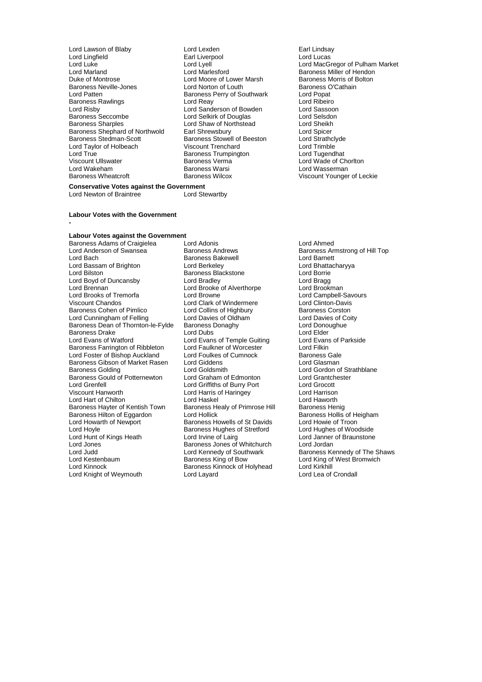Lord Lawson of Blaby Lord Lexden Earl Lindsay Lord Lingfield **Earl Liverpool**<br>
Lord Luke **Earl Lord Lyell** Lord Luke Lord Lyell Lord MacGregor of Pulham Market Lord Marland Lord Marlesford Baroness Miller of Hendon<br>
Duke of Montrose Lord Moore of Lower Marsh Baroness Morris of Bolton Baroness Neville-Jones **Lord Norton of Louth** Baroness C<br>
Lord Patten **Baroness Perry of Southwark** Lord Popat Baroness Rawlings Lord Reay Lord Ribeiro Lord Risby **Lord Sanderson of Bowden** Lord Sassoon<br>
Baroness Seccombe **Lord Selse Lord Selse Consumers** Lord Selse Lord Selse Lord Selse Lord Selse Lord Selse Lord Selse Baroness Seccombe Lord Selkirk of Douglas Lord Selsdon Baroness Shephard of Northwold Earl Shrewsbury **Execute Constitutes Constitutes**<br>Baroness Stedman-Scott Baroness Stowell of Beeston Lord Strathclyde Lord Taylor of Holbeach Viscount Trenchard Lord Trimble Lord True<br>
Viscount Ullswater Baroness Verma<br>
Viscount Ullswater Baroness Verma Viscount Ullswater Baroness Verma Lord Wade of Chorlton<br>
Lord Wakeham Baroness Warsi Lord Wasserman Lord Wakeham **Baroness Warsi** Cord Wakeham Baroness Warsi **Lord Wasserman**<br>Baroness Wheatcroft **Baroness Wilcox** Christ Count Younger

Lord Moore of Lower Marsh Baroness Morris of E<br>
Lord Norton of Louth Baroness O'Cathain Express Perry of Southwark Lord Popat<br>
Lord Reav Lord Ribeiro Lord Shaw of Northstead Lord Sheikh<br>Earl Shrewsbury Lord Spicer Baroness Stowell of Beeston Lord Strathcly<br>
Viscount Trenchard Lord Trimble

**Conservative Votes against the Government**<br>Lord Newton of Braintree **Lord Stewartby** Lord Newton of Braintree

### **Labour Votes with the Government**

#### **-**

### **Labour Votes against the Government**

Baroness Adams of Craigielea Lord Adonis Lord Ahmed Lord Anderson of Swansea **Baroness Andrews** Baroness Armstrong of Hill Top<br>Baroness Bakewell **Baroness Baroness Armstrong Cord Barnett** Lord Bassam of Brighton Lord Berkeley Cord Bassam of Brighton Lord Bhatta<br>
Lord Bilston Cord Borrie<br>
Lord Borrie Lord Boyd of Duncansby Lord Bradley Lord Bragg Lord Brooks of Tremorfa **Lord Brooks Constant Lord Brooks Constant** Lord Campbell-Savours Cord Clinton-Davis<br>
Lord Clark of Windermere Lord Clinton-Davis Baroness Cohen of Pimlico **Lord Collins of Highbury** Baroness Corston<br>
Lord Cunningham of Felling Lord Davies of Oldham Lord Davies of Coity Lord Cunningham of Felling Lord Davies of Oldham Lord Davies of Consumers Corporation Lord Davies of Coity<br>
Lord Donoughue<br>
Baroness Dean of Thornton-le-Fylde Baroness Donaghy Baroness Dean of Thornton-le-Fylde Baroness Donaghy Lord Donoughue Lord Donoughy<br>Baroness Drake Lord Lord Dubs Lord Dubs Baroness Drake **Lord Dubs** Lord Dubs Lord Elder Lord Elder The Lord Elder Cord Elder Lord Evans of Parkside Baroness Farrington of Ribbleton Lord Faulkner of Worcester The Lord Filkin<br>
Lord Foster of Bishop Auckland Lord Foulkes of Cumnock Baroness Gale Lord Foster of Bishop Auckland Lord Foulkes of Cumnock Baroness Gale<br>Baroness Gibson of Market Rasen Lord Giddens Lord Glasman Baroness Gibson of Market Rasen Lord Giddens<br>Baroness Golding Lord Goldsmith Baroness Gould of Potternewton Lord Graham of Edmonton Lord Grantch<br>
Lord Grenfell Lord Griffiths of Burry Port Lord Grocott Lord Grenfell Lord Griffiths of Burry Port Lord Grocott Lord Hart of Chilton **Lord Haskel** Lord Haskel **Lord Haworth**<br>Baroness Hayter of Kentish Town Baroness Healy of Primrose Hill Baroness Henig Baroness Hayter of Kentish Town Baroness Hilton of Eggardon Lord Hollick Baroness Hilton of Eggardon Lord Hollick in the Baroness Hollis of Heigham<br>
Lord Howarth of Newport Baroness Howells of St Davids Lord Howie of Troon Lord Howarth of Newport **Baroness Howells of St Davids** Lord Howie of Troon<br>
Lord Hoyle **Communist Communist Communist Communist Communist Communist Lord Hughes of Woodside** Lord Hoyle<br>
Lord Hunt of Kings Heath<br>
Lord Irvine of Lairg<br>
Lord Irvine of Lairg Lord Jones **Exercise State Baroness Jones of Whitchurch** Lord Jordan<br>Lord Judd Lord Kennedy of Southwark Baroness Ke Lord Judd<br>
Lord Judd Lord Kennedy of Southwark Baroness Kennedy of The Shaws<br>
Lord Kestenbaum Baroness King of Bow Lord King of West Bromwich Lord Kestenbaum Baroness King of Bow Lord King of West Bromwich Lord Knight of Weymouth

Baroness Bakewell **Baroness Bakewell**<br>
Lord Berkeley **Communist Communist Lord Bhattacharyya** Baroness Blackstone Lord Borrie<br>
Lord Bradley Lord Bragg<br>
Lord Bragg Lord Brooke of Alverthorpe Lord Brookman<br>
Lord Brooke of Alverthorpe Lord Campbell-Savours Lord Clark of Windermere Lord Clinton-Davis<br>
Lord Collins of Highbury Baroness Corston Lord Evans of Temple Guiting Lord Evans Lord Evans of Temple Guiting Lord Evans Lord Goldsmith<br>
Lord Graham of Edmonton<br>
Lord Grantchester Lord Harris of Haringey Lord Harrison<br>
Lord Haskel Cord Haworth Baroness Kinnock of Holyhead Lord Kirkhill<br>
Lord Layard Lord Lea of Crondall

Viscount Younger of Leckie

Lord Janner of Braunstone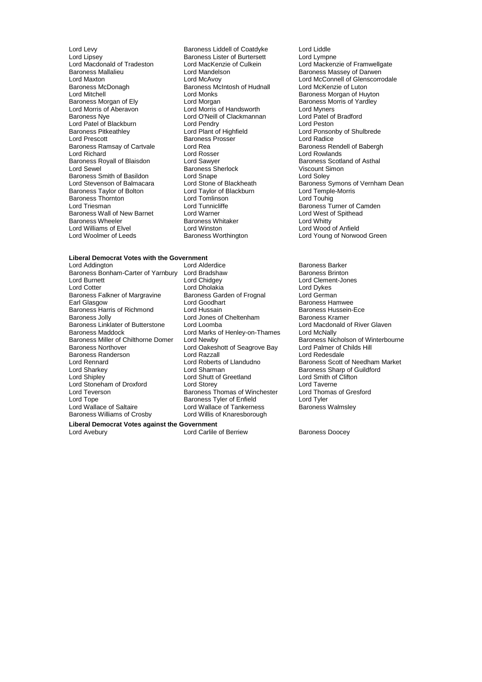Lord Levy **Baroness Liddell of Coatdyke** Lord Liddle<br>
Lord Lipsey **Baroness Lister of Burtersett** Lord Lympne Lord Lipsey<br>
Lord Macdonald of Tradeston<br>
Lord MacKenzie of Culkein Baroness Mallalieu Lord Mandelson Baroness Massey of Darwen Baroness McDonagh Baroness McIntosh of Hudnall<br>
Lord Mitchell<br>
Lord Monks Lord Mitchell **Lord Monks**<br>
Lord Monks **Baroness Morgan of Huyton**<br>
Baroness Morgan of Ely **Lord Morgan Communist Communist Communist Communist Communist Communist Communist Communist Communist Communist Communist Communis** Baroness Morgan of Ely **Lord Morgan** Cord Morgan Baroness Morris of Yardley<br>
Lord Morris of Aberavon Lord Morris of Handsworth Lord Myners Lord Morris of Aberavon Lord Morris of Handsworth Lord Myners Lord Patel of Blackburn Lord Pendry<br>Baroness Pitkeathley Lord Plant of Highfield Baroness Pitkeathley **Lord Plant of Highfield** Hight Lord Ponsonby of Shulbrede<br>
Lord Prescott **Lord Ponsonby Consomer Console Baroness Prosser** Lord Radice Lord Prescott **Contains Community**<br>Baroness Ramsay of Cartvale **Lord Rea** Baroness Ramsay of Cartvale Lord Rea Baroness Rendell of Babergh<br>
Lord Richard Lord Rosser Lord Rowlands Baroness Royall of Blaisdon Lord Sawyer Communication Baroness Scotland Cord Sawyer Communication Baroness Scotla<br>Lord Sewel Communication Baroness Sherlock Communication Cord Cordination Baroness Smith of Basildon<br>
Lord Stevenson of Balmacara<br>
Lord Stone of Blackheath Baroness Taylor of Bolton Lord Taylor of Blackburn and Lord Temple<br>
Lord Tomlinson Lord Tomlinson Lord Touhig **Baroness Thornton Lord Tomlinson Lord Tomlinson**<br>
Lord Triesman Lord Tunnicliffe Baroness Wall of New Barnet Lord Warner Lord West communist Unit Allen Cord West of Spithead West of Spithead<br>
Baroness Wheeler Cord Whitty Baroness Wheeler Baroness Whitaker<br>
Lord Williams of Flyel Baroness Whitaker Lord Williams of Elvel **Lord Winston** Lord Winston **Lord Winston Lord Wood of Anfield**<br>
Lord Woolmer of Leeds **Baroness Worthington** Lord Young of Norwoo

Lord O'Neill of Clackmannan Lord Patel of Lord Pendry<br>
Lord Pendry Cord Peston Lord Rosser **Lord Rowlands**<br>
Lord Sawyer **Lord Rowlands**<br>
Lord Sawyer **Baroness** Scotland of Asthal Baroness Sherlock Viscount Si<br>
Lord Snape Lord Solev

## **Liberal Democrat Votes with the Government**

Baroness Bonham-Carter of Yarnbury Lord Bradshaw<br>Lord Burnett Lord Chidgey Lord Burnett **Lord Childgey** Lord Clement-Jones<br>
Lord Cotter Lord Cotter Lord Cholakia Lord Cotter Lord Cotter Lord Cotter Lord Dykes Baroness Falkner of Margravine Baroness Gard<br>Earl Glasgow **England Lord Goodhart** Baroness Harris of Richmond Lord Hussain<br>Baroness Jolly Cord Jones of Cheltenham Baroness Kramer Baroness Jolly **Lord Jones of Cheltenham** Baroness Kramer<br>Baroness Linklater of Butterstone Lord Loomba **Baroness Lord Macdonald of River Glaven** Baroness Linklater of Butterstone Lord Loomba Lord Macdonald Cord Macdonald Cord Machanas Lord Machally<br>Baroness Maddock Cord Cord Marks of Henley-on-Thames Lord McNally Baroness Maddock Lord Marks of Henley-on-Thames<br>Baroness Miller of Chilthorne Domer Lord Newby Baroness Miller of Chilthorne Domer Lord Newby Baroness Nicholson of Winterbourne<br>Baroness Northover Lord Oakeshott of Seagrove Bay Lord Palmer of Childs Hill Baroness Randerson **Lord Razzall**<br>
Lord Rennard **Lord Roberts** of Llandudno Lord Sharkey **Lord Sharman** Lord Sharman Baroness Sharp of Guildford<br>
Lord Sharp Lord Sharp Lord Sharp Lord Smith of Clifton Lord Stoneham of Droxford Lord Storey Lord Taverne Lord Tope **Communist Communist Communist Communist Communist Communist Communist Communist Communist Communist Co**<br>
Lord Wallace of Saltaire **Lord Wallace of Tankerness** Baroness Walmsley Baroness Williams of Crosby

Lord Alderdice **Baroness Barker**<br>
Lord Bradshaw **Baroness Barker** Lord Dholakia<br>
Baroness Garden of Frognal
Lord German Lord Goodhart Christian Corporation Baroness Hamwee<br>1997 - Baroness Hussein-Ece Eord Oakeshott of Seagrove Bay Lord Palmer of C<br>Lord Razzall Childs Hills Hills Hills Hills Hills Hills Hills Hills Hills Hills Hills Hills Hills Hills Hills H Lord Shutt of Greetland Lord Smith of Cord Smith of Lord Smith of Cord Smith of Cliftonnes Baroness Thomas of Winchester Lord Wallace of Tankerness<br>Lord Willis of Knaresborough

**Liberal Democrat Votes against the Government**

Lord Macdonald of Tradeston Lord MacKenzie of Culkein Lord Mackenzie of Framwellgate Lord Maxton Lord McAvoy Lord McAvoy Lord Clenscorrodale<br>Baroness McDonagh Baroness McIntosh of Hudnall Lord McKenzie of Luton Lord Stone of Blackheath Baroness Symons of Vernham Dean<br>
Lord Taylor of Blackburn Lord Temple-Morris Lord Tunnicliffe **Baroness Turner of Camden**<br>
Lord Warner **Cammen Lord West of Spithead** Lord Young of Norwood Green

Lord Roberts of Llandudno Baroness Scott of Needham Market<br>
Lord Sharman Baroness Sharp of Guildford

Lord Carlile of Berriew Baroness Doocey